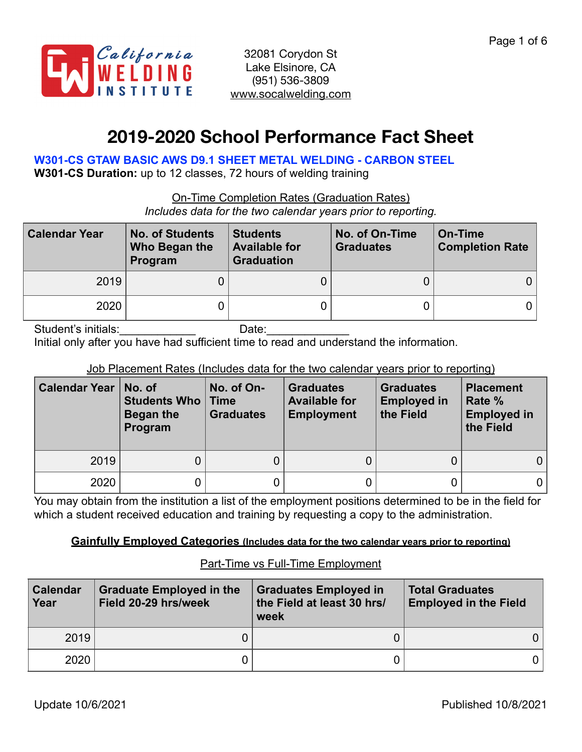

# **2019-2020 School Performance Fact Sheet**

**W301-CS GTAW BASIC AWS D9.1 SHEET METAL WELDING - CARBON STEEL** 

**W301-CS Duration:** up to 12 classes, 72 hours of welding training

On-Time Completion Rates (Graduation Rates)

*Includes data for the two calendar years prior to reporting.*

| <b>Calendar Year</b> | <b>No. of Students</b><br>Who Began the<br>Program | <b>Students</b><br><b>Available for</b><br><b>Graduation</b> | No. of On-Time<br><b>Graduates</b> | On-Time<br><b>Completion Rate</b> |
|----------------------|----------------------------------------------------|--------------------------------------------------------------|------------------------------------|-----------------------------------|
| 2019                 |                                                    |                                                              |                                    |                                   |
| 2020                 |                                                    |                                                              |                                    |                                   |

Student's initials:\_\_\_\_\_\_\_\_\_\_\_\_ Date:\_\_\_\_\_\_\_\_\_\_\_\_\_ Initial only after you have had sufficient time to read and understand the information.

### Job Placement Rates (Includes data for the two calendar years prior to reporting)

| <b>Calendar Year</b> | No. of<br><b>Students Who   Time</b><br>Began the<br>Program | No. of On-<br><b>Graduates</b> | <b>Graduates</b><br><b>Available for</b><br><b>Employment</b> | <b>Graduates</b><br><b>Employed in</b><br>the Field | <b>Placement</b><br>Rate %<br><b>Employed in</b><br>the Field |
|----------------------|--------------------------------------------------------------|--------------------------------|---------------------------------------------------------------|-----------------------------------------------------|---------------------------------------------------------------|
| 2019                 | 0                                                            |                                |                                                               |                                                     | $\overline{0}$                                                |
| 2020                 | D                                                            |                                |                                                               |                                                     |                                                               |

You may obtain from the institution a list of the employment positions determined to be in the field for which a student received education and training by requesting a copy to the administration.

#### **Gainfully Employed Categories (Includes data for the two calendar years prior to reporting)**

| <b>Calendar</b><br>Year | <b>Graduate Employed in the</b><br>Field 20-29 hrs/week | <b>Graduates Employed in</b><br>the Field at least 30 hrs/<br>week | <b>Total Graduates</b><br><b>Employed in the Field</b> |
|-------------------------|---------------------------------------------------------|--------------------------------------------------------------------|--------------------------------------------------------|
| 2019                    |                                                         |                                                                    |                                                        |
| 2020                    |                                                         |                                                                    |                                                        |

### Part-Time vs Full-Time Employment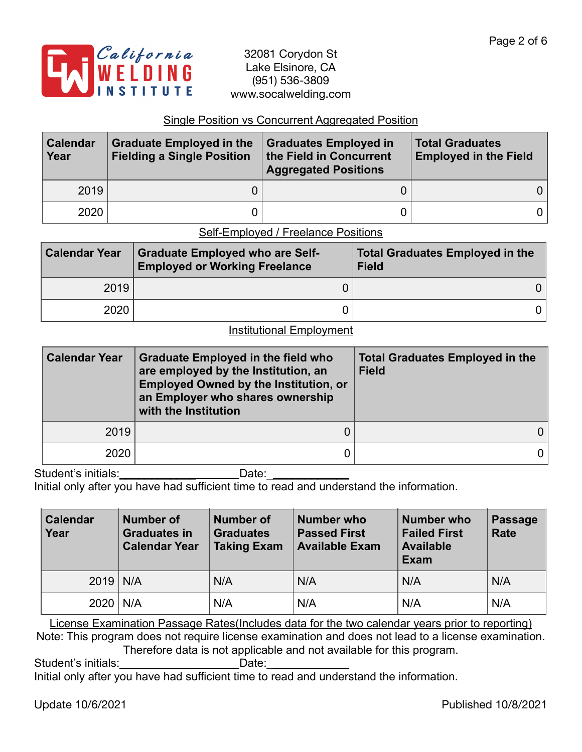

#### Single Position vs Concurrent Aggregated Position

| <b>Calendar</b><br>Year | <b>Graduate Employed in the</b><br><b>Fielding a Single Position</b> | Graduates Employed in<br>the Field in Concurrent<br><b>Aggregated Positions</b> | <b>Total Graduates</b><br><b>Employed in the Field</b> |
|-------------------------|----------------------------------------------------------------------|---------------------------------------------------------------------------------|--------------------------------------------------------|
| 2019                    |                                                                      |                                                                                 |                                                        |
| 2020                    |                                                                      |                                                                                 |                                                        |

## Self-Employed / Freelance Positions

| <b>Calendar Year</b> | <b>Graduate Employed who are Self-</b><br><b>Employed or Working Freelance</b> | <b>Total Graduates Employed in the</b><br><b>Field</b> |
|----------------------|--------------------------------------------------------------------------------|--------------------------------------------------------|
| 2019                 |                                                                                |                                                        |
| 2020                 |                                                                                |                                                        |

#### Institutional Employment

| <b>Calendar Year</b> | <b>Graduate Employed in the field who</b><br>are employed by the Institution, an<br><b>Employed Owned by the Institution, or</b><br>an Employer who shares ownership<br>with the Institution | <b>Total Graduates Employed in the</b><br><b>Field</b> |  |  |
|----------------------|----------------------------------------------------------------------------------------------------------------------------------------------------------------------------------------------|--------------------------------------------------------|--|--|
| 2019                 |                                                                                                                                                                                              |                                                        |  |  |
| 2020                 |                                                                                                                                                                                              |                                                        |  |  |

Student's initials:\_\_\_\_\_\_\_\_\_\_\_\_\_\_\_\_\_\_\_\_\_\_\_\_\_\_Date: \_\_\_\_\_\_\_\_\_\_\_\_\_\_\_\_\_\_\_\_\_\_\_\_\_\_\_\_\_

Initial only after you have had sufficient time to read and understand the information.

| <b>Calendar</b><br>Year | Number of<br><b>Graduates in</b><br><b>Calendar Year</b> | <b>Number of</b><br><b>Graduates</b><br><b>Taking Exam</b> | <b>Number who</b><br><b>Passed First</b><br><b>Available Exam</b> | Number who<br><b>Failed First</b><br><b>Available</b><br><b>Exam</b> | Passage<br><b>Rate</b> |
|-------------------------|----------------------------------------------------------|------------------------------------------------------------|-------------------------------------------------------------------|----------------------------------------------------------------------|------------------------|
| $2019$ N/A              |                                                          | N/A                                                        | N/A                                                               | N/A                                                                  | N/A                    |
| $2020$ N/A              |                                                          | N/A                                                        | N/A                                                               | N/A                                                                  | N/A                    |

License Examination Passage Rates(Includes data for the two calendar years prior to reporting) Note: This program does not require license examination and does not lead to a license examination. Therefore data is not applicable and not available for this program.

Student's initials: example and Date:

Initial only after you have had sufficient time to read and understand the information.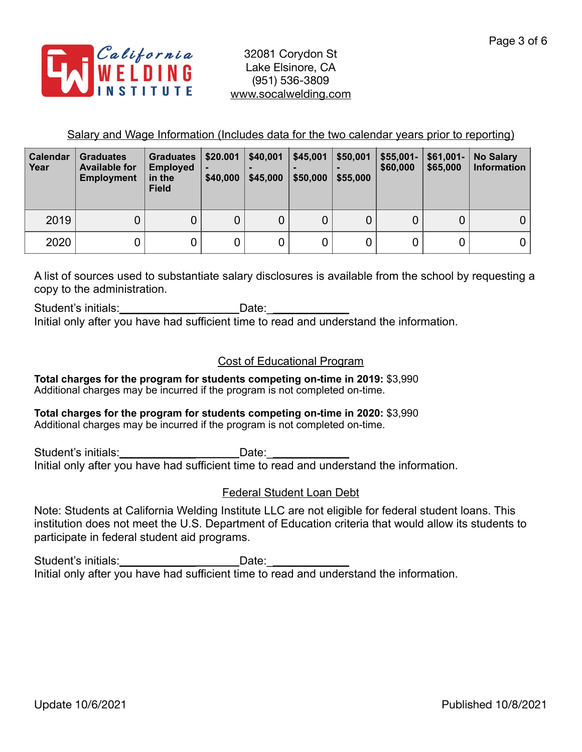

Salary and Wage Information (Includes data for the two calendar years prior to reporting)

| <b>Calendar</b><br>Year | <b>Graduates</b><br><b>Available for</b><br><b>Employment</b> | <b>Graduates</b><br><b>Employed</b><br>in the<br><b>Field</b> | \$20.001<br>\$40,000 | \$40,001<br>-<br>\$45,000 | \$45,001<br>\$50,000 | \$50,001<br>-<br>\$55,000 | $$55,001-$<br>\$60,000 | $$61,001-$<br>\$65,000 | <b>No Salary</b><br><b>Information</b> |
|-------------------------|---------------------------------------------------------------|---------------------------------------------------------------|----------------------|---------------------------|----------------------|---------------------------|------------------------|------------------------|----------------------------------------|
| 2019                    | 0                                                             | 0                                                             | 0                    |                           | 0                    |                           |                        | 0                      | 0                                      |
| 2020                    | 0                                                             |                                                               |                      |                           | 0                    |                           |                        | 0                      |                                        |

A list of sources used to substantiate salary disclosures is available from the school by requesting a copy to the administration.

Student's initials: example and Date: Initial only after you have had sufficient time to read and understand the information.

## Cost of Educational Program

**Total charges for the program for students competing on-time in 2019:** \$3,990 Additional charges may be incurred if the program is not completed on-time.

#### **Total charges for the program for students competing on-time in 2020:** \$3,990 Additional charges may be incurred if the program is not completed on-time.

Student's initials:\_\_\_\_\_\_\_\_\_\_\_\_ Date:\_\_\_\_\_\_\_\_\_\_\_\_\_ Initial only after you have had sufficient time to read and understand the information.

## Federal Student Loan Debt

Note: Students at California Welding Institute LLC are not eligible for federal student loans. This institution does not meet the U.S. Department of Education criteria that would allow its students to participate in federal student aid programs.

Student's initials:\_\_\_\_\_\_\_\_\_\_\_\_\_\_\_\_\_\_\_\_\_\_\_\_Date:\_\_\_\_ Initial only after you have had sufficient time to read and understand the information.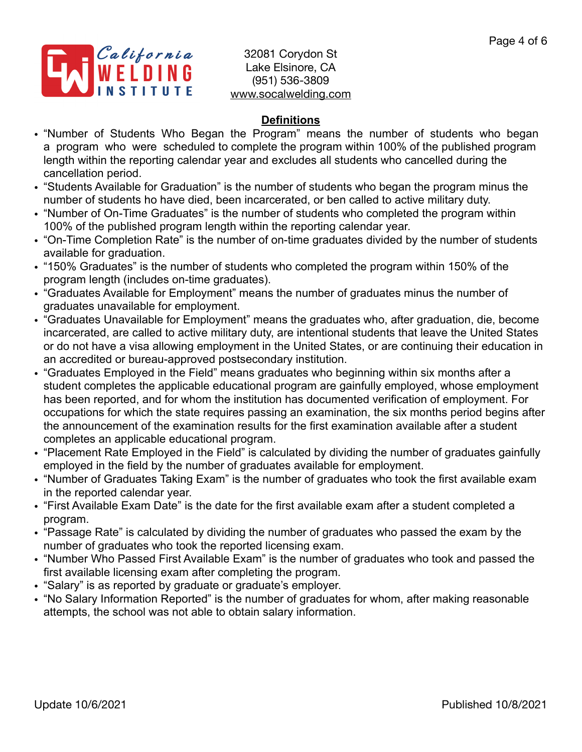

## **Definitions**

- "Number of Students Who Began the Program" means the number of students who began a program who were scheduled to complete the program within 100% of the published program length within the reporting calendar year and excludes all students who cancelled during the cancellation period.
- "Students Available for Graduation" is the number of students who began the program minus the number of students ho have died, been incarcerated, or ben called to active military duty.
- "Number of On-Time Graduates" is the number of students who completed the program within 100% of the published program length within the reporting calendar year.
- "On-Time Completion Rate" is the number of on-time graduates divided by the number of students available for graduation.
- "150% Graduates" is the number of students who completed the program within 150% of the program length (includes on-time graduates).
- "Graduates Available for Employment" means the number of graduates minus the number of graduates unavailable for employment.
- "Graduates Unavailable for Employment" means the graduates who, after graduation, die, become incarcerated, are called to active military duty, are intentional students that leave the United States or do not have a visa allowing employment in the United States, or are continuing their education in an accredited or bureau-approved postsecondary institution.
- "Graduates Employed in the Field" means graduates who beginning within six months after a student completes the applicable educational program are gainfully employed, whose employment has been reported, and for whom the institution has documented verification of employment. For occupations for which the state requires passing an examination, the six months period begins after the announcement of the examination results for the first examination available after a student completes an applicable educational program.
- "Placement Rate Employed in the Field" is calculated by dividing the number of graduates gainfully employed in the field by the number of graduates available for employment.
- "Number of Graduates Taking Exam" is the number of graduates who took the first available exam in the reported calendar year.
- "First Available Exam Date" is the date for the first available exam after a student completed a program.
- "Passage Rate" is calculated by dividing the number of graduates who passed the exam by the number of graduates who took the reported licensing exam.
- "Number Who Passed First Available Exam" is the number of graduates who took and passed the first available licensing exam after completing the program.
- "Salary" is as reported by graduate or graduate's employer.
- "No Salary Information Reported" is the number of graduates for whom, after making reasonable attempts, the school was not able to obtain salary information.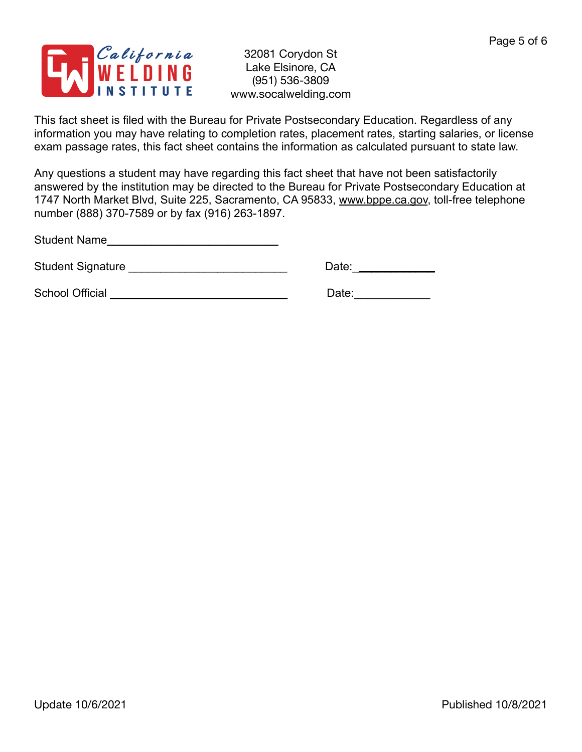

This fact sheet is filed with the Bureau for Private Postsecondary Education. Regardless of any information you may have relating to completion rates, placement rates, starting salaries, or license exam passage rates, this fact sheet contains the information as calculated pursuant to state law.

Any questions a student may have regarding this fact sheet that have not been satisfactorily answered by the institution may be directed to the Bureau for Private Postsecondary Education at 1747 North Market Blvd, Suite 225, Sacramento, CA 95833, [www.bppe.ca.gov](http://www.bppe.ca.gov), toll-free telephone number (888) 370-7589 or by fax (916) 263-1897.

Student Name\_\_\_\_\_\_\_\_\_\_\_\_\_\_\_\_\_\_\_\_\_\_\_\_\_\_\_

Student Signature \_\_\_\_\_\_\_\_\_\_\_\_\_\_\_\_\_\_\_\_\_\_\_\_\_ Date:\_\_\_\_\_\_\_\_\_\_\_\_\_

School Official \_\_\_\_\_\_\_\_\_\_\_\_\_\_\_\_\_\_\_\_\_\_\_\_\_\_\_\_ Date:\_\_\_\_\_\_\_\_\_\_\_\_